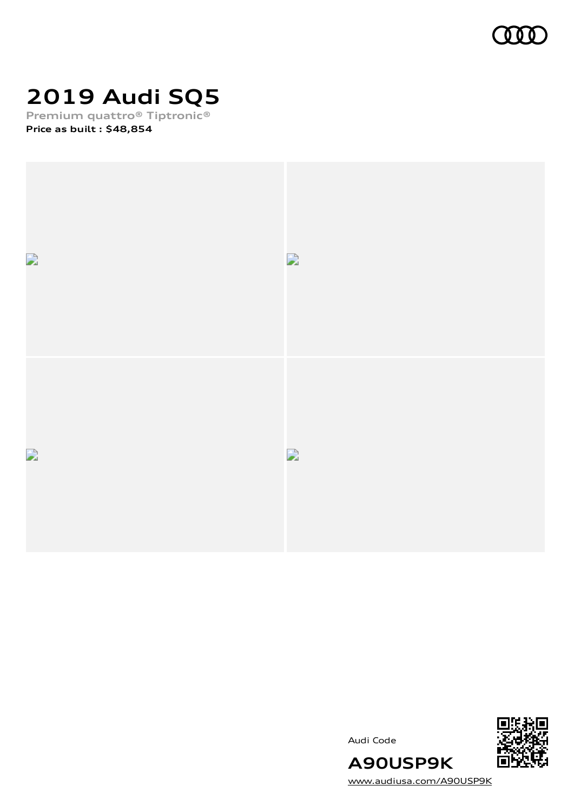

# **2019 Audi SQ5**

**Premium quattro® Tiptronic® Price as built [:](#page-10-0) \$48,854**







[www.audiusa.com/A90USP9K](https://www.audiusa.com/A90USP9K)

**A90USP9K**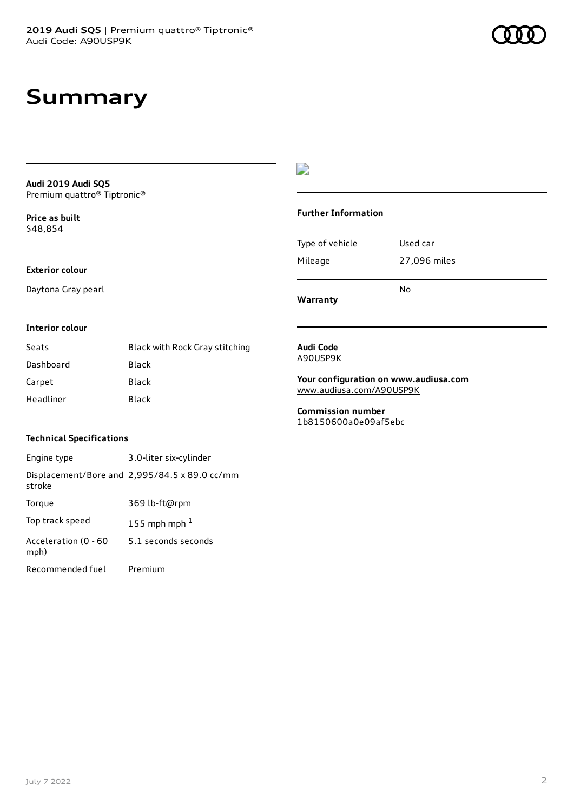## **Summary**

**Audi 2019 Audi SQ5** Premium quattro® Tiptronic®

**Price as buil[t](#page-10-0)** \$48,854

### **Exterior colour**

Daytona Gray pearl

### $\overline{\phantom{a}}$

#### **Further Information**

|                 | N٥           |
|-----------------|--------------|
| Mileage         | 27,096 miles |
| Type of vehicle | Used car     |

**Warranty**

#### **Interior colour**

| Seats     | Black with Rock Gray stitching |
|-----------|--------------------------------|
| Dashboard | Black                          |
| Carpet    | Black                          |
| Headliner | Black                          |

#### **Audi Code** A90USP9K

**Your configuration on www.audiusa.com** [www.audiusa.com/A90USP9K](https://www.audiusa.com/A90USP9K)

**Commission number** 1b8150600a0e09af5ebc

### **Technical Specifications**

| Engine type                  | 3.0-liter six-cylinder                        |
|------------------------------|-----------------------------------------------|
| stroke                       | Displacement/Bore and 2,995/84.5 x 89.0 cc/mm |
| Torque                       | 369 lb-ft@rpm                                 |
| Top track speed              | 155 mph mph $1$                               |
| Acceleration (0 - 60<br>mph) | 5.1 seconds seconds                           |
| Recommended fuel             | Premium                                       |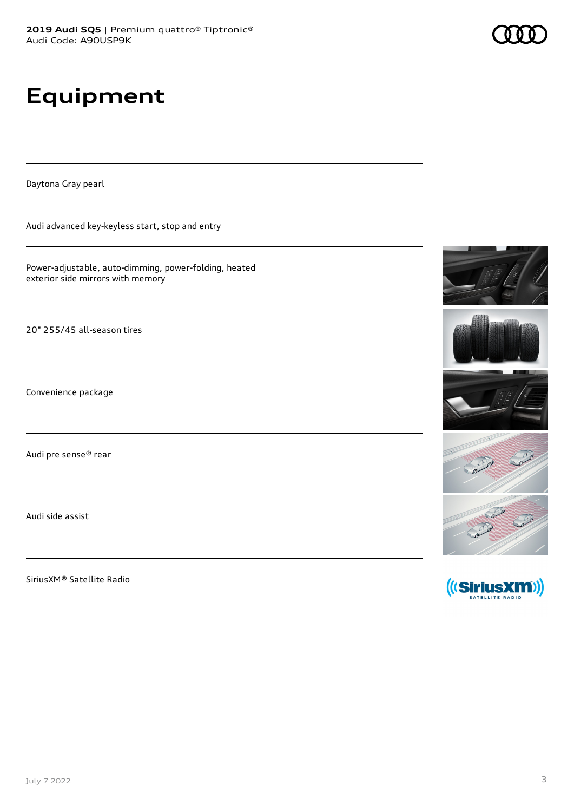# **Equipment**

Daytona Gray pearl

Audi advanced key-keyless start, stop and entry

Power-adjustable, auto-dimming, power-folding, heated exterior side mirrors with memory

20" 255/45 all-season tires

Convenience package

Audi pre sense® rear

Audi side assist

SiriusXM® Satellite Radio









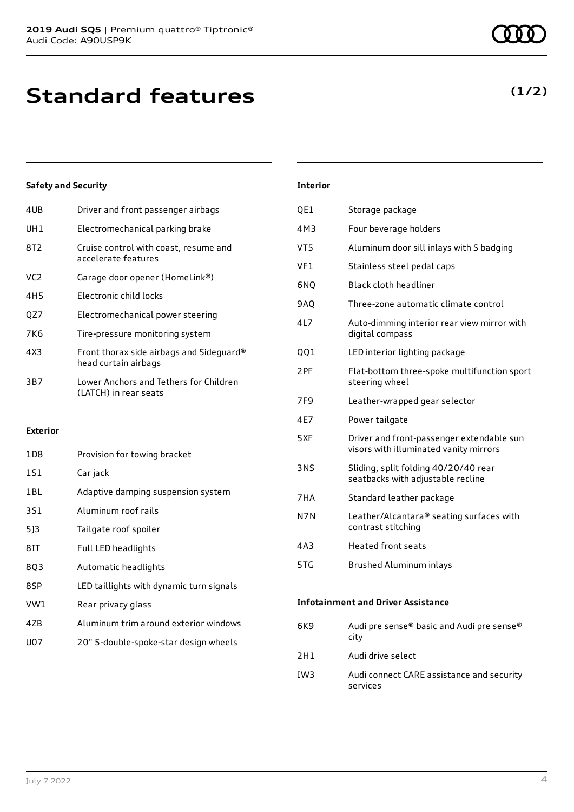| 4UB | Driver and front passenger airbags                               |
|-----|------------------------------------------------------------------|
| UH1 | Electromechanical parking brake                                  |
| 8T2 | Cruise control with coast, resume and<br>accelerate features     |
| VC2 | Garage door opener (HomeLink®)                                   |
| 4H5 | Electronic child locks                                           |
| OZ7 | Electromechanical power steering                                 |
| 7K6 | Tire-pressure monitoring system                                  |
| 4X3 | Front thorax side airbags and Sideguard®<br>head curtain airbags |
| 3B7 | Lower Anchors and Tethers for Children<br>(LATCH) in rear seats  |
|     |                                                                  |

#### **Exterior**

| 1D8 | Provision for towing bracket             |
|-----|------------------------------------------|
| 1S1 | Car jack                                 |
| 1BL | Adaptive damping suspension system       |
| 3S1 | Aluminum roof rails                      |
| 513 | Tailgate roof spoiler                    |
| 81T | Full LED headlights                      |
| 8Q3 | Automatic headlights                     |
| 8SP | LED taillights with dynamic turn signals |
| VW1 | Rear privacy glass                       |
| 4ZB | Aluminum trim around exterior windows    |
| U07 | 20" 5-double-spoke-star design wheels    |
|     |                                          |

| Interior |                                                                                     |
|----------|-------------------------------------------------------------------------------------|
| QE1      | Storage package                                                                     |
| 4M3      | Four beverage holders                                                               |
| VT5      | Aluminum door sill inlays with S badging                                            |
| VF1      | Stainless steel pedal caps                                                          |
| 6N0      | <b>Black cloth headliner</b>                                                        |
| 9AQ      | Three-zone automatic climate control                                                |
| 4L7      | Auto-dimming interior rear view mirror with<br>digital compass                      |
| 001      | LED interior lighting package                                                       |
| 2PF      | Flat-bottom three-spoke multifunction sport<br>steering wheel                       |
| 7F9      | Leather-wrapped gear selector                                                       |
| 4E7      | Power tailgate                                                                      |
| 5XF      | Driver and front-passenger extendable sun<br>visors with illuminated vanity mirrors |
| 3NS      | Sliding, split folding 40/20/40 rear<br>seatbacks with adjustable recline           |
| 7HA      | Standard leather package                                                            |
| N7N      | Leather/Alcantara® seating surfaces with<br>contrast stitching                      |
| 4A3      | <b>Heated front seats</b>                                                           |
|          |                                                                                     |

5TG Brushed Aluminum inlays

### **Infotainment and Driver Assistance**

| 6K9 | Audi pre sense® basic and Audi pre sense®<br>city     |
|-----|-------------------------------------------------------|
| 2H1 | Audi drive select                                     |
| IW3 | Audi connect CARE assistance and security<br>services |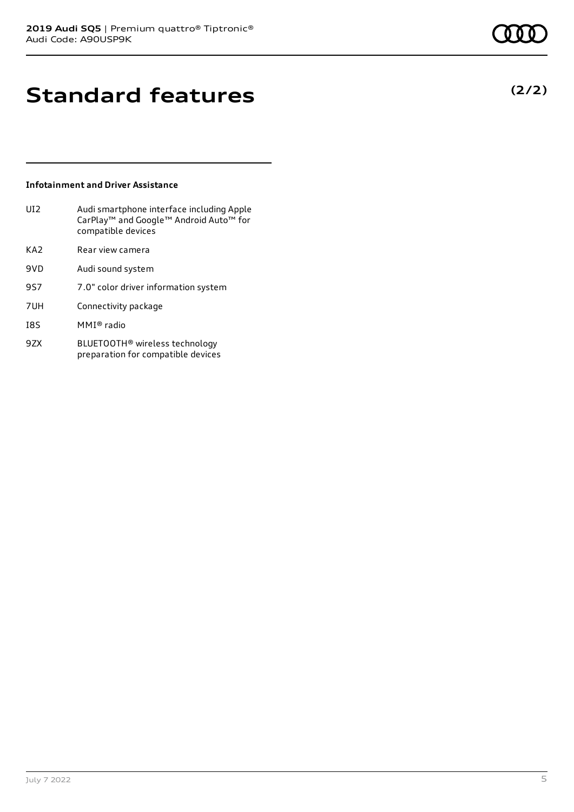## **Standard features**

### **Infotainment and Driver Assistance**

| UI2             | Audi smartphone interface including Apple<br>CarPlay <sup>™</sup> and Google™ Android Auto™ for<br>compatible devices |
|-----------------|-----------------------------------------------------------------------------------------------------------------------|
| KA <sub>2</sub> | Rear view camera                                                                                                      |
| 9VD             | Audi sound system                                                                                                     |
| 957             | 7.0" color driver information system                                                                                  |
| 7UH             | Connectivity package                                                                                                  |
| <b>I8S</b>      | MMI® radio                                                                                                            |
| 97X             | BLUETOOTH® wireless technology                                                                                        |

preparation for compatible devices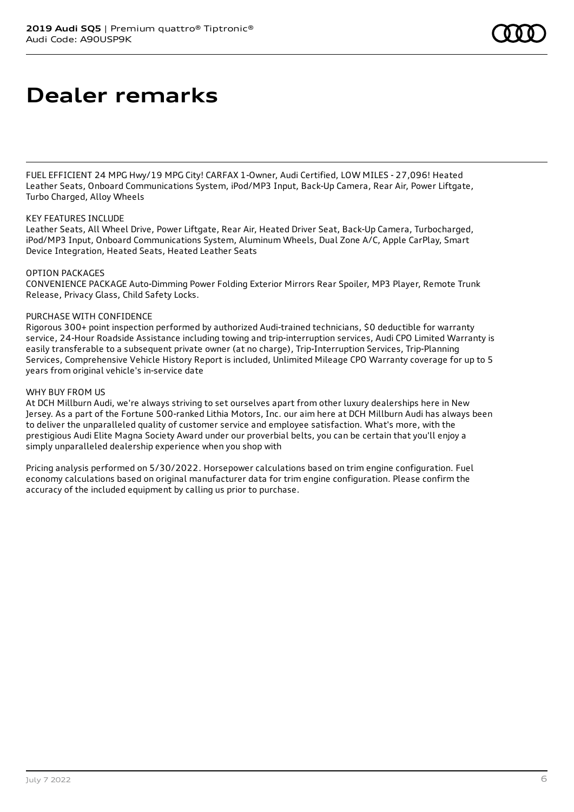## **Dealer remarks**

FUEL EFFICIENT 24 MPG Hwy/19 MPG City! CARFAX 1-Owner, Audi Certified, LOW MILES - 27,096! Heated Leather Seats, Onboard Communications System, iPod/MP3 Input, Back-Up Camera, Rear Air, Power Liftgate, Turbo Charged, Alloy Wheels

#### KEY FEATURES INCLUDE

Leather Seats, All Wheel Drive, Power Liftgate, Rear Air, Heated Driver Seat, Back-Up Camera, Turbocharged, iPod/MP3 Input, Onboard Communications System, Aluminum Wheels, Dual Zone A/C, Apple CarPlay, Smart Device Integration, Heated Seats, Heated Leather Seats

#### OPTION PACKAGES

CONVENIENCE PACKAGE Auto-Dimming Power Folding Exterior Mirrors Rear Spoiler, MP3 Player, Remote Trunk Release, Privacy Glass, Child Safety Locks.

#### PURCHASE WITH CONFIDENCE

Rigorous 300+ point inspection performed by authorized Audi-trained technicians, \$0 deductible for warranty service, 24-Hour Roadside Assistance including towing and trip-interruption services, Audi CPO Limited Warranty is easily transferable to a subsequent private owner (at no charge), Trip-Interruption Services, Trip-Planning Services, Comprehensive Vehicle History Report is included, Unlimited Mileage CPO Warranty coverage for up to 5 years from original vehicle's in-service date

#### WHY BUY FROM US

At DCH Millburn Audi, we're always striving to set ourselves apart from other luxury dealerships here in New Jersey. As a part of the Fortune 500-ranked Lithia Motors, Inc. our aim here at DCH Millburn Audi has always been to deliver the unparalleled quality of customer service and employee satisfaction. What's more, with the prestigious Audi Elite Magna Society Award under our proverbial belts, you can be certain that you'll enjoy a simply unparalleled dealership experience when you shop with

Pricing analysis performed on 5/30/2022. Horsepower calculations based on trim engine configuration. Fuel economy calculations based on original manufacturer data for trim engine configuration. Please confirm the accuracy of the included equipment by calling us prior to purchase.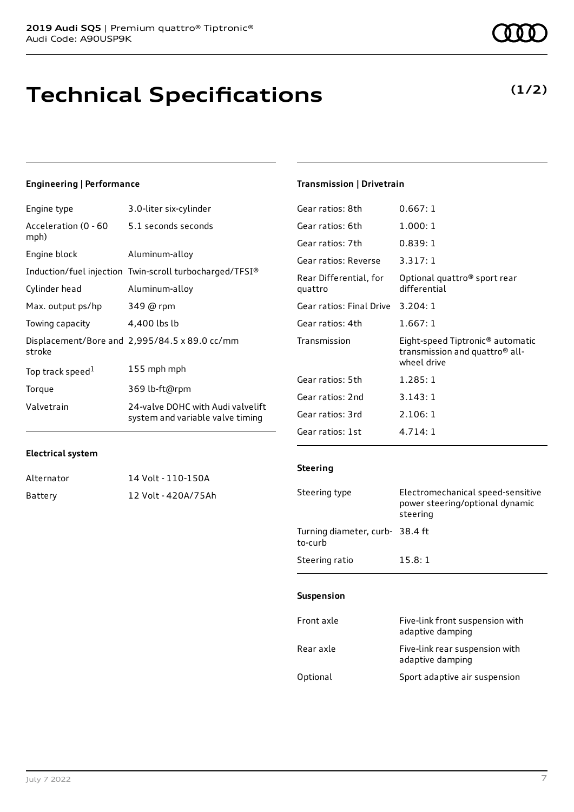## **Technical Specifications**

#### **Engineering | Performance**

| Engine type                  | 3.0-liter six-cylinder                                                |
|------------------------------|-----------------------------------------------------------------------|
| Acceleration (0 - 60<br>mph) | 5.1 seconds seconds                                                   |
| Engine block                 | Aluminum-alloy                                                        |
|                              | Induction/fuel injection Twin-scroll turbocharged/TFSI®               |
| Cylinder head                | Aluminum-alloy                                                        |
| Max. output ps/hp            | 349 @ rpm                                                             |
| Towing capacity              | 4,400 lbs lb                                                          |
| stroke                       | Displacement/Bore and 2,995/84.5 x 89.0 cc/mm                         |
| Top track speed <sup>1</sup> | 155 mph mph                                                           |
| Torque                       | 369 lb-ft@rpm                                                         |
| Valvetrain                   | 24-valve DOHC with Audi valvelift<br>system and variable valve timing |

#### **Transmission | Drivetrain**

| Gear ratios: 8th                  | 0.667:1                                                                                                   |
|-----------------------------------|-----------------------------------------------------------------------------------------------------------|
| Gear ratios: 6th                  | 1.000:1                                                                                                   |
| Gear ratios: 7th                  | 0.839:1                                                                                                   |
| Gear ratios: Reverse              | 3.317:1                                                                                                   |
| Rear Differential, for<br>quattro | Optional quattro <sup>®</sup> sport rear<br>differential                                                  |
| Gear ratios: Final Drive          | 3.204:1                                                                                                   |
| Gear ratios: 4th                  | 1.667:1                                                                                                   |
| Transmission                      | Eight-speed Tiptronic <sup>®</sup> automatic<br>transmission and quattro <sup>®</sup> all-<br>wheel drive |
| Gear ratios: 5th                  | 1.285:1                                                                                                   |
| Gear ratios: 2nd                  | 3.143:1                                                                                                   |
| Gear ratios: 3rd                  | 2.106:1                                                                                                   |
| Gear ratios: 1st                  | 4.714:1                                                                                                   |

#### **Electrical system**

| Alternator | 14 Volt - 110-150A  |
|------------|---------------------|
| Battery    | 12 Volt - 420A/75Ah |

| Steering type                  | Electromechanical speed-sensitive<br>power steering/optional dynamic<br>steering |
|--------------------------------|----------------------------------------------------------------------------------|
| Turning diameter, curb-38.4 ft |                                                                                  |

Steering ratio 15.8:1

### **Suspension**

**Steering**

to-curb

| Front axle | Five-link front suspension with<br>adaptive damping |
|------------|-----------------------------------------------------|
| Rear axle  | Five-link rear suspension with<br>adaptive damping  |
| Optional   | Sport adaptive air suspension                       |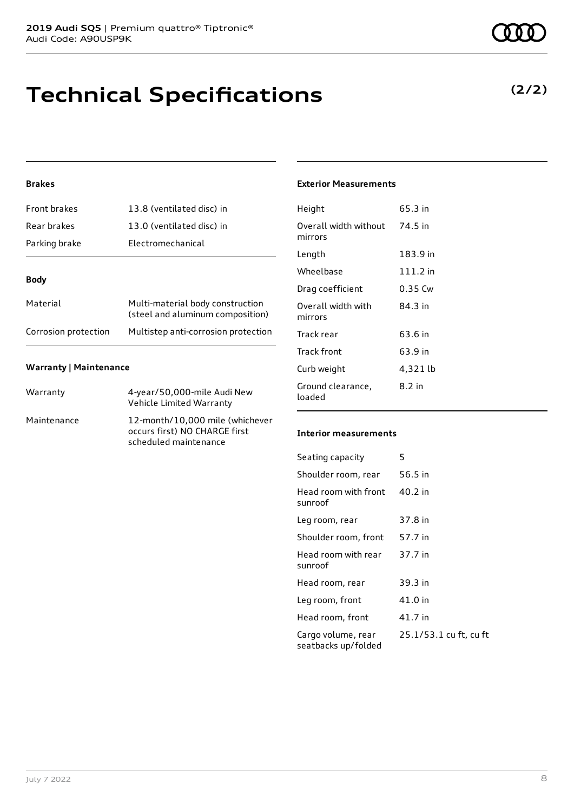## **Technical Specifications**

### **Brakes**

| Front brakes         | 13.8 (ventilated disc) in                                            |  |
|----------------------|----------------------------------------------------------------------|--|
| Rear brakes          | 13.0 (ventilated disc) in                                            |  |
| Parking brake        | Electromechanical                                                    |  |
| <b>Body</b>          |                                                                      |  |
|                      |                                                                      |  |
| Material             | Multi-material body construction<br>(steel and aluminum composition) |  |
| Corrosion protection | Multistep anti-corrosion protection                                  |  |

### **Warranty | Maintenance**

| Warranty    | 4-year/50,000-mile Audi New<br>Vehicle Limited Warranty                                   |
|-------------|-------------------------------------------------------------------------------------------|
| Maintenance | 12-month/10,000 mile (whichever<br>occurs first) NO CHARGE first<br>scheduled maintenance |

#### **Exterior Measurements**

| Height                           | 65.3 in   |
|----------------------------------|-----------|
| Overall width without<br>mirrors | 74.5 in   |
| Length                           | 183.9 in  |
| Wheelbase                        | 111.2 in  |
| Drag coefficient                 | $0.35$ Cw |
| Overall width with<br>mirrors    | 84.3 in   |
| Track rear                       | 63.6 in   |
| Track front                      | 63.9 in   |
| Curb weight                      | 4,321 lb  |
| Ground clearance,<br>loaded      | 8.2 in    |

#### **Interior measurements**

| Seating capacity                          | 5                      |
|-------------------------------------------|------------------------|
| Shoulder room, rear                       | 56.5 in                |
| Head room with front<br>sunroof           | $40.2$ in              |
| Leg room, rear                            | 37.8 in                |
| Shoulder room, front                      | 57.7 in                |
| Head room with rear<br>sunroof            | 37.7 in                |
| Head room, rear                           | 39.3 in                |
| Leg room, front                           | 41.0 in                |
| Head room, front                          | 41.7 in                |
| Cargo volume, rear<br>seatbacks up/folded | 25.1/53.1 cu ft, cu ft |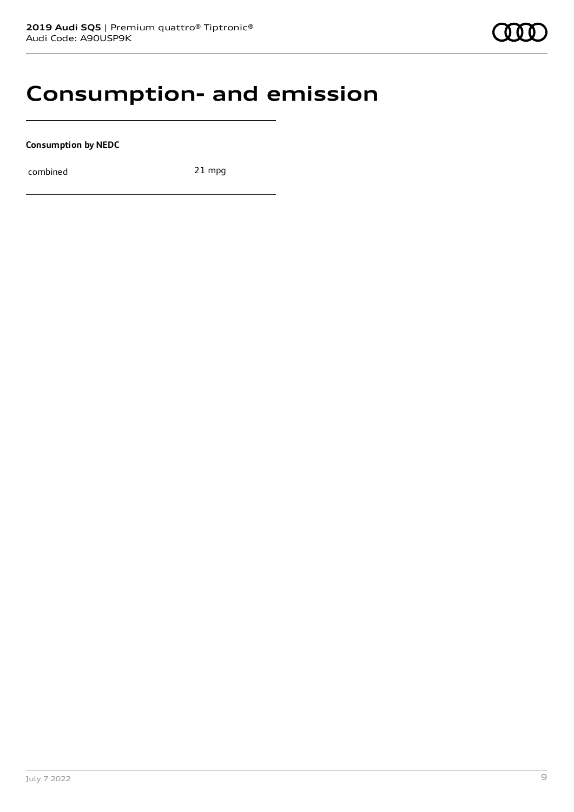## **Consumption- and emission**

**Consumption by NEDC**

combined 21 mpg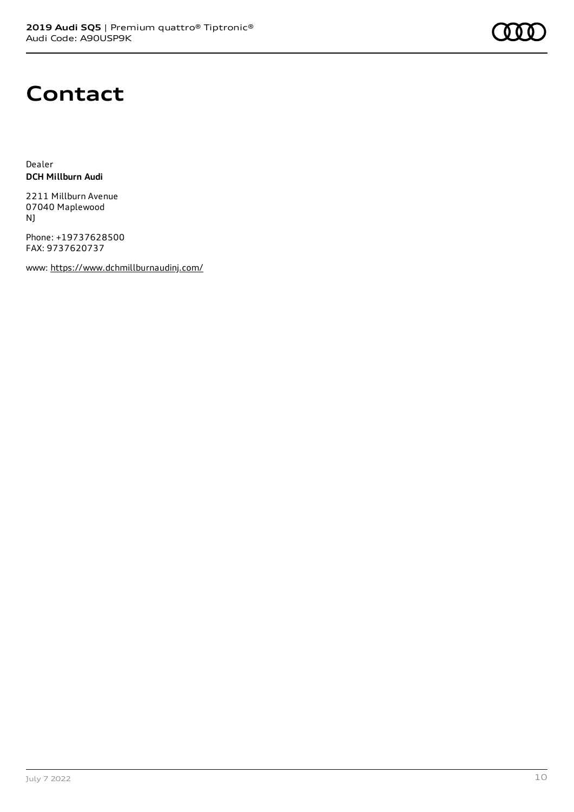

## **Contact**

Dealer **DCH Millburn Audi**

2211 Millburn Avenue 07040 Maplewood NJ

Phone: +19737628500 FAX: 9737620737

www: <https://www.dchmillburnaudinj.com/>